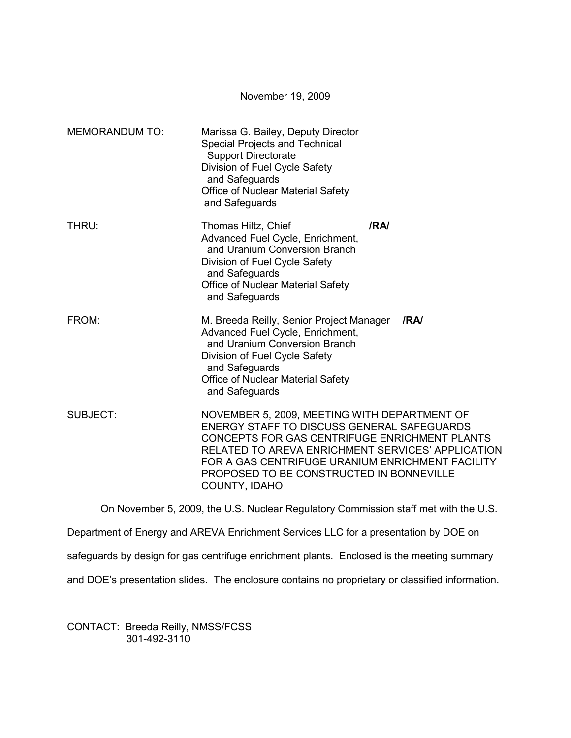|                       | November 19, 2009                                                                                                                                                                                                                                                                                                        |
|-----------------------|--------------------------------------------------------------------------------------------------------------------------------------------------------------------------------------------------------------------------------------------------------------------------------------------------------------------------|
| <b>MEMORANDUM TO:</b> | Marissa G. Bailey, Deputy Director<br>Special Projects and Technical<br><b>Support Directorate</b><br>Division of Fuel Cycle Safety<br>and Safeguards<br>Office of Nuclear Material Safety<br>and Safeguards                                                                                                             |
| THRU:                 | /RA/<br>Thomas Hiltz, Chief<br>Advanced Fuel Cycle, Enrichment,<br>and Uranium Conversion Branch<br>Division of Fuel Cycle Safety<br>and Safeguards<br><b>Office of Nuclear Material Safety</b><br>and Safeguards                                                                                                        |
| FROM:                 | M. Breeda Reilly, Senior Project Manager<br>/RA<br>Advanced Fuel Cycle, Enrichment,<br>and Uranium Conversion Branch<br>Division of Fuel Cycle Safety<br>and Safeguards<br><b>Office of Nuclear Material Safety</b><br>and Safeguards                                                                                    |
| <b>SUBJECT:</b>       | NOVEMBER 5, 2009, MEETING WITH DEPARTMENT OF<br>ENERGY STAFF TO DISCUSS GENERAL SAFEGUARDS<br>CONCEPTS FOR GAS CENTRIFUGE ENRICHMENT PLANTS<br>RELATED TO AREVA ENRICHMENT SERVICES' APPLICATION<br>FOR A GAS CENTRIFUGE URANIUM ENRICHMENT FACILITY<br>PROPOSED TO BE CONSTRUCTED IN BONNEVILLE<br><b>COUNTY, IDAHO</b> |

On November 5, 2009, the U.S. Nuclear Regulatory Commission staff met with the U.S.

Department of Energy and AREVA Enrichment Services LLC for a presentation by DOE on

safeguards by design for gas centrifuge enrichment plants. Enclosed is the meeting summary

and DOE's presentation slides. The enclosure contains no proprietary or classified information.

CONTACT: Breeda Reilly, NMSS/FCSS 301-492-3110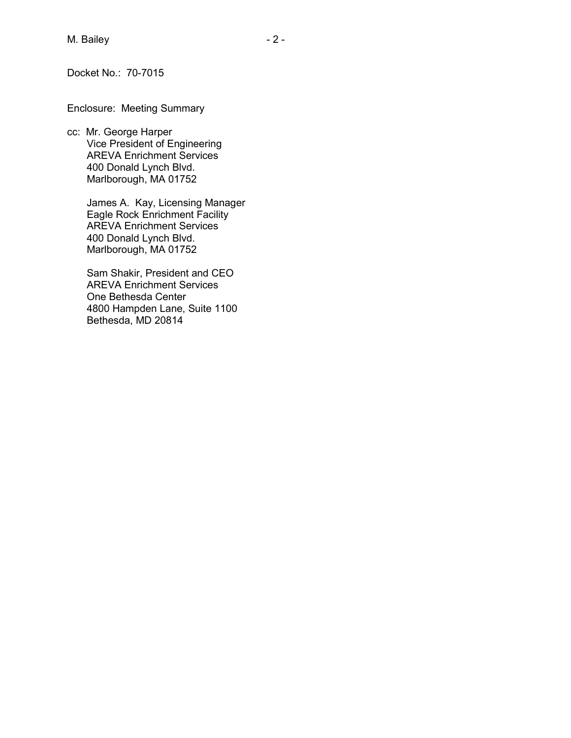Docket No.: 70-7015

Enclosure: Meeting Summary

cc: Mr. George Harper Vice President of Engineering AREVA Enrichment Services 400 Donald Lynch Blvd. Marlborough, MA 01752

> James A. Kay, Licensing Manager Eagle Rock Enrichment Facility AREVA Enrichment Services 400 Donald Lynch Blvd. Marlborough, MA 01752

 Sam Shakir, President and CEO AREVA Enrichment Services One Bethesda Center 4800 Hampden Lane, Suite 1100 Bethesda, MD 20814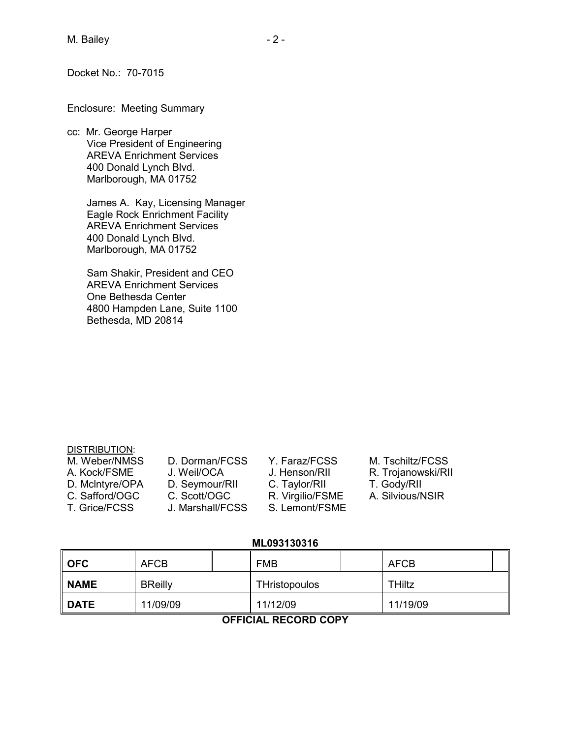Docket No.: 70-7015

Enclosure: Meeting Summary

cc: Mr. George Harper Vice President of Engineering AREVA Enrichment Services 400 Donald Lynch Blvd. Marlborough, MA 01752

> James A. Kay, Licensing Manager Eagle Rock Enrichment Facility AREVA Enrichment Services 400 Donald Lynch Blvd. Marlborough, MA 01752

 Sam Shakir, President and CEO AREVA Enrichment Services One Bethesda Center 4800 Hampden Lane, Suite 1100 Bethesda, MD 20814

### DISTRIBUTION:

- M. Weber/NMSS D. Dorman/FCSS Y. Faraz/FCSS M. Tschiltz/FCSS
- 
- 
- C. Safford/OGC C. Scott/OGC R. Virgilio/FSME
- 
- 
- D. McIntyre/OPA D. Seymour/RII C. Taylor/RII T. Gody/RII<br>C. Safford/OGC C. Scott/OGC R. Virgilio/FSME A. Silvious/NSIR
- T. Grice/FCSS J. Marshall/FCSS S. Lemont/FSME
- 

- 
- 
- 

A. Kock/FSME J. Weil/OCA J. Henson/RII R. Trojanowski/RII

- 
- **ML093130316**

| <b>OFC</b>  | <b>AFCB</b>    |  | <b>FMB</b>           |  | AFCB          |  |
|-------------|----------------|--|----------------------|--|---------------|--|
| <b>NAME</b> | <b>BReilly</b> |  | <b>THristopoulos</b> |  | <b>THiltz</b> |  |
| <b>DATE</b> | 11/09/09       |  | 11/12/09             |  | 11/19/09      |  |

## **OFFICIAL RECORD COPY**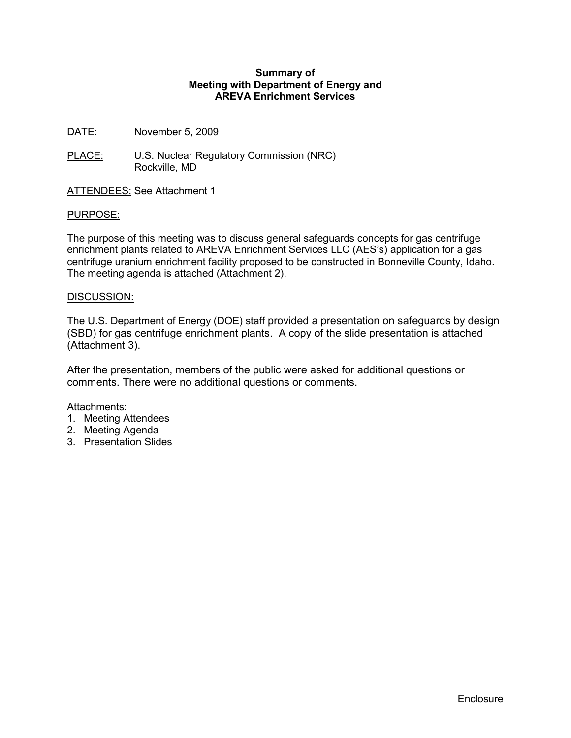### **Summary of Meeting with Department of Energy and AREVA Enrichment Services**

- DATE: November 5, 2009
- PLACE: U.S. Nuclear Regulatory Commission (NRC) Rockville, MD
- ATTENDEES: See Attachment 1

### PURPOSE:

The purpose of this meeting was to discuss general safeguards concepts for gas centrifuge enrichment plants related to AREVA Enrichment Services LLC (AES's) application for a gas centrifuge uranium enrichment facility proposed to be constructed in Bonneville County, Idaho. The meeting agenda is attached (Attachment 2).

### DISCUSSION:

The U.S. Department of Energy (DOE) staff provided a presentation on safeguards by design (SBD) for gas centrifuge enrichment plants. A copy of the slide presentation is attached (Attachment 3).

After the presentation, members of the public were asked for additional questions or comments. There were no additional questions or comments.

### Attachments:

- 1. Meeting Attendees
- 2. Meeting Agenda
- 3. Presentation Slides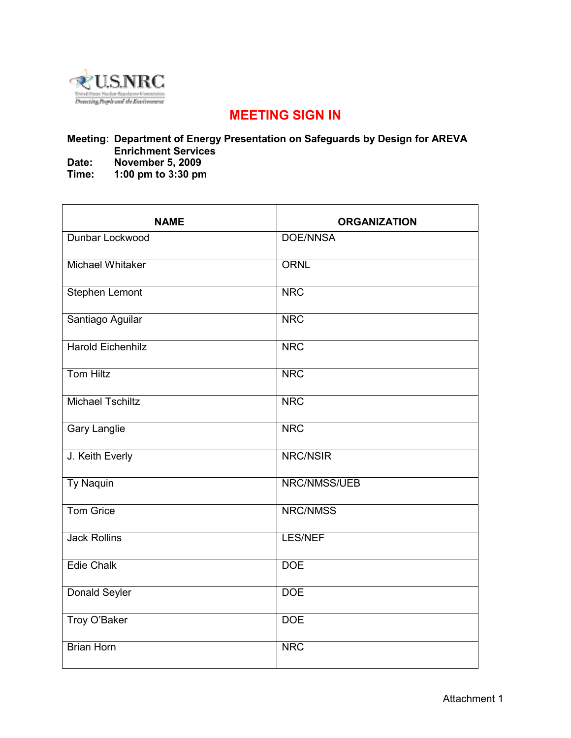

# **MEETING SIGN IN**

## **Meeting: Department of Energy Presentation on Safeguards by Design for AREVA Enrichment Services**

**Date: November 5, 2009** 

**Time: 1:00 pm to 3:30 pm** 

| <b>NAME</b>              | <b>ORGANIZATION</b> |
|--------------------------|---------------------|
| Dunbar Lockwood          | <b>DOE/NNSA</b>     |
| <b>Michael Whitaker</b>  | <b>ORNL</b>         |
| <b>Stephen Lemont</b>    | <b>NRC</b>          |
| Santiago Aguilar         | <b>NRC</b>          |
| <b>Harold Eichenhilz</b> | <b>NRC</b>          |
| <b>Tom Hiltz</b>         | <b>NRC</b>          |
| <b>Michael Tschiltz</b>  | <b>NRC</b>          |
| <b>Gary Langlie</b>      | <b>NRC</b>          |
| J. Keith Everly          | NRC/NSIR            |
| <b>Ty Naquin</b>         | NRC/NMSS/UEB        |
| <b>Tom Grice</b>         | <b>NRC/NMSS</b>     |
| <b>Jack Rollins</b>      | <b>LES/NEF</b>      |
| <b>Edie Chalk</b>        | <b>DOE</b>          |
| <b>Donald Seyler</b>     | <b>DOE</b>          |
| Troy O'Baker             | <b>DOE</b>          |
| <b>Brian Horn</b>        | <b>NRC</b>          |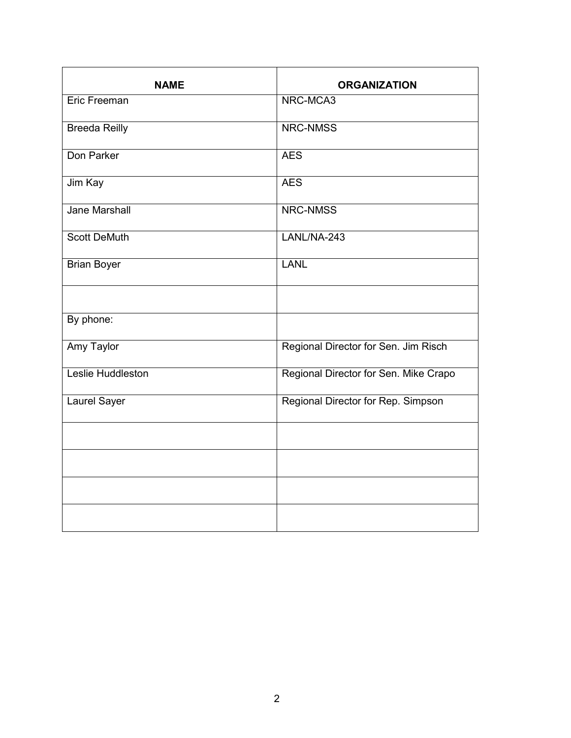| <b>NAME</b>          | <b>ORGANIZATION</b>                   |
|----------------------|---------------------------------------|
| <b>Eric Freeman</b>  | NRC-MCA3                              |
| <b>Breeda Reilly</b> | <b>NRC-NMSS</b>                       |
| Don Parker           | <b>AES</b>                            |
| Jim Kay              | <b>AES</b>                            |
| Jane Marshall        | NRC-NMSS                              |
| <b>Scott DeMuth</b>  | LANL/NA-243                           |
| <b>Brian Boyer</b>   | <b>LANL</b>                           |
|                      |                                       |
| By phone:            |                                       |
| <b>Amy Taylor</b>    | Regional Director for Sen. Jim Risch  |
| Leslie Huddleston    | Regional Director for Sen. Mike Crapo |
| Laurel Sayer         | Regional Director for Rep. Simpson    |
|                      |                                       |
|                      |                                       |
|                      |                                       |
|                      |                                       |